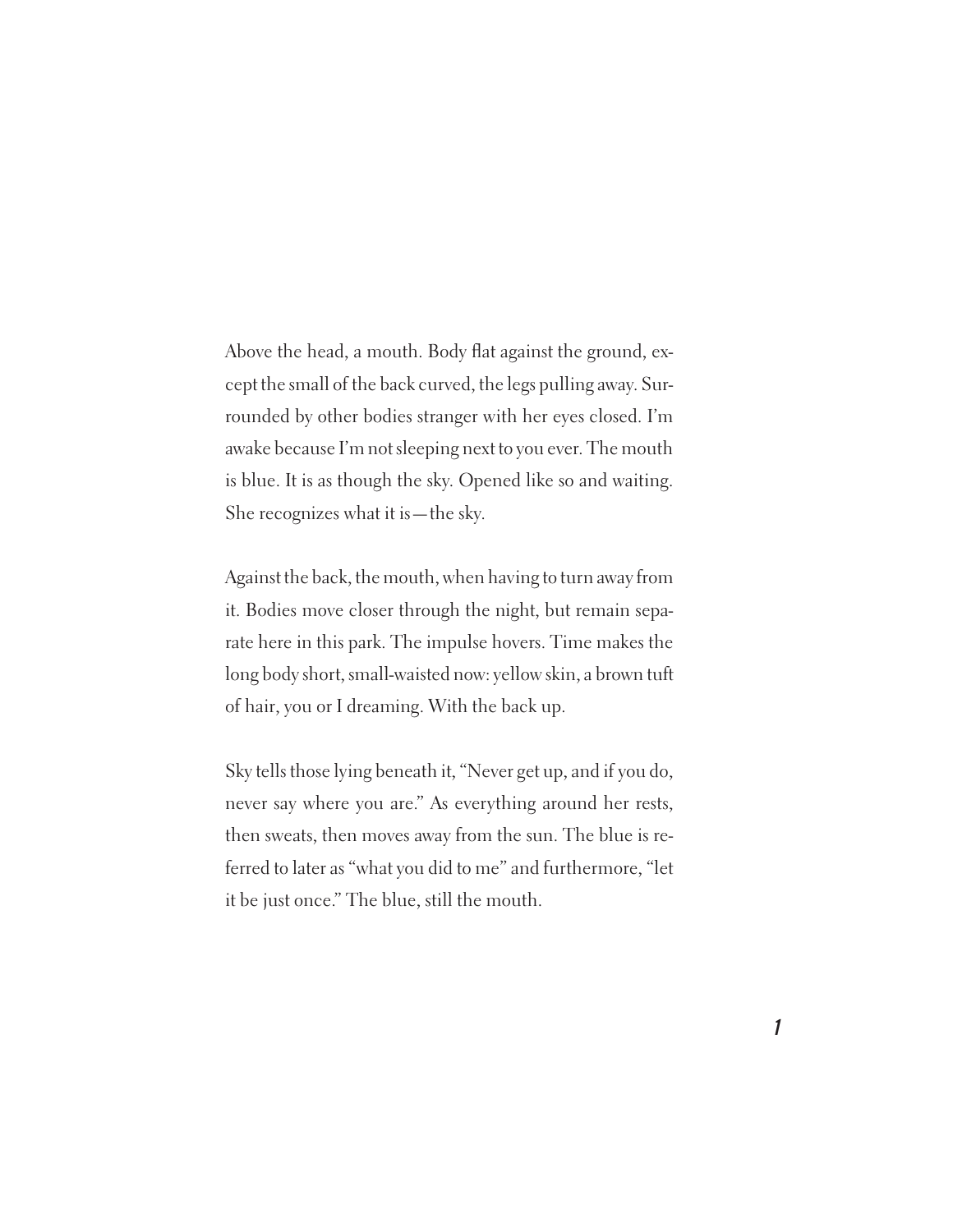Above the head, a mouth. Body flat against the ground, except the small of the back curved, the legs pulling away. Surrounded by other bodies stranger with her eyes closed. I'm awake because I'm not sleeping next to you ever. The mouth is blue. It is as though the sky. Opened like so and waiting. She recognizes what it is—the sky.

Against the back, the mouth, when having to turn away from it. Bodies move closer through the night, but remain separate here in this park. The impulse hovers. Time makes the long body short, small-waisted now: yellow skin, a brown tuft of hair, you or I dreaming. With the back up.

Sky tells those lying beneath it, "Never get up, and if you do, never say where you are." As everything around her rests, then sweats, then moves away from the sun. The blue is referred to later as "what you did to me" and furthermore, "let it be just once." The blue, still the mouth.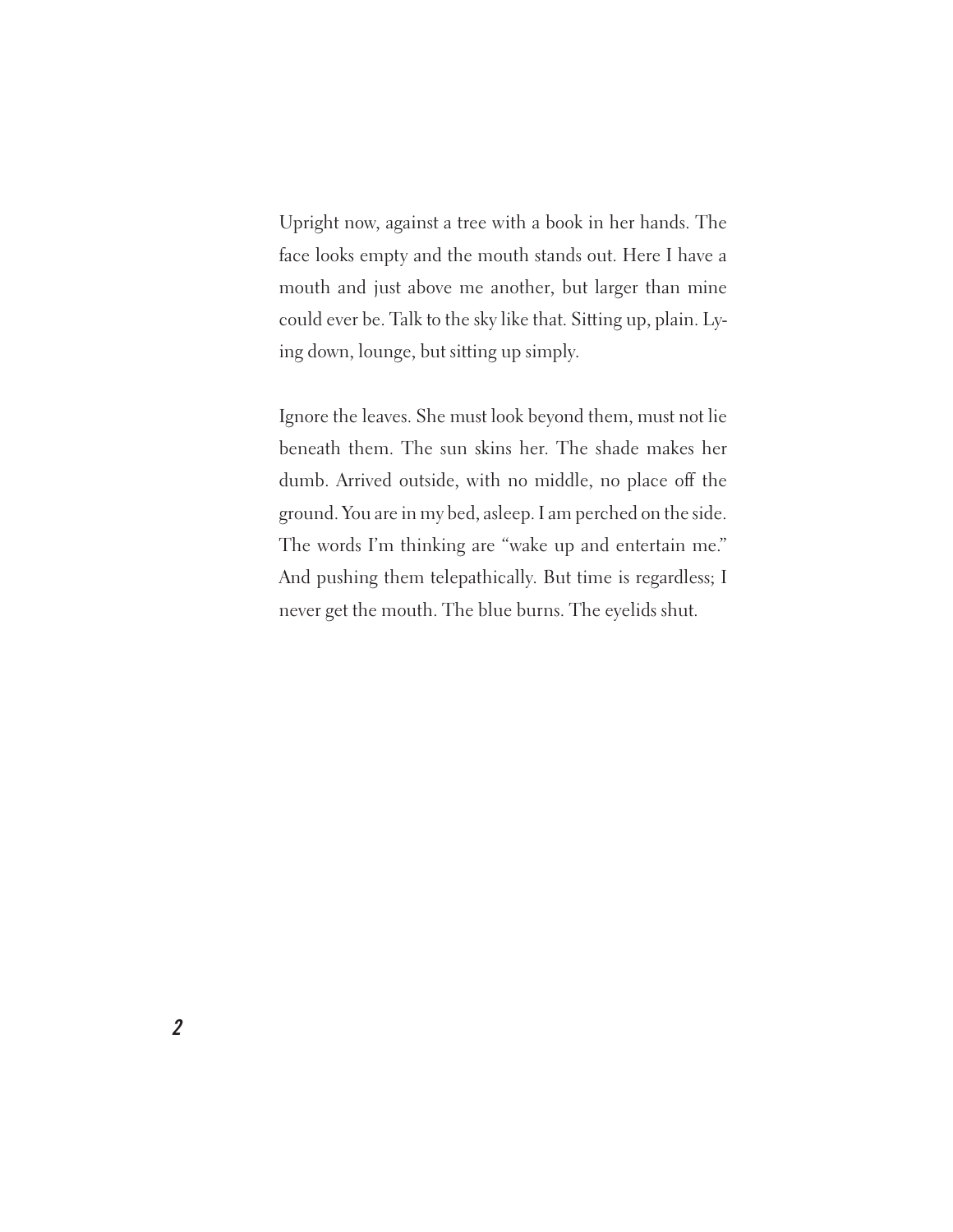Upright now, against a tree with a book in her hands. The face looks empty and the mouth stands out. Here I have a mouth and just above me another, but larger than mine could ever be. Talk to the sky like that. Sitting up, plain. Lying down, lounge, but sitting up simply.

Ignore the leaves. She must look beyond them, must not lie beneath them. The sun skins her. The shade makes her dumb. Arrived outside, with no middle, no place off the ground. You are in my bed, asleep. I am perched on the side. The words I'm thinking are "wake up and entertain me." And pushing them telepathically. But time is regardless; I never get the mouth. The blue burns. The eyelids shut.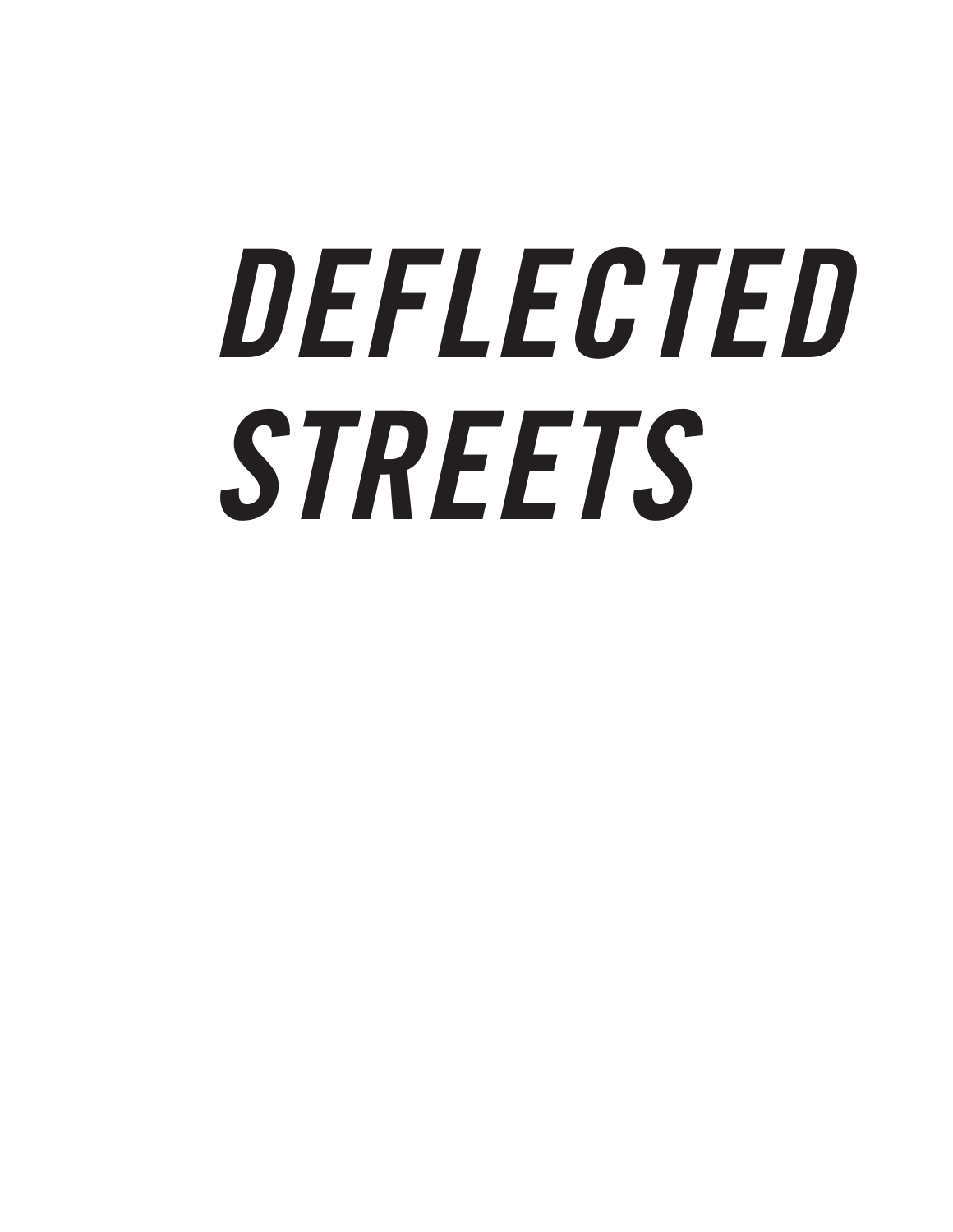## **DEFLECTED STREETS**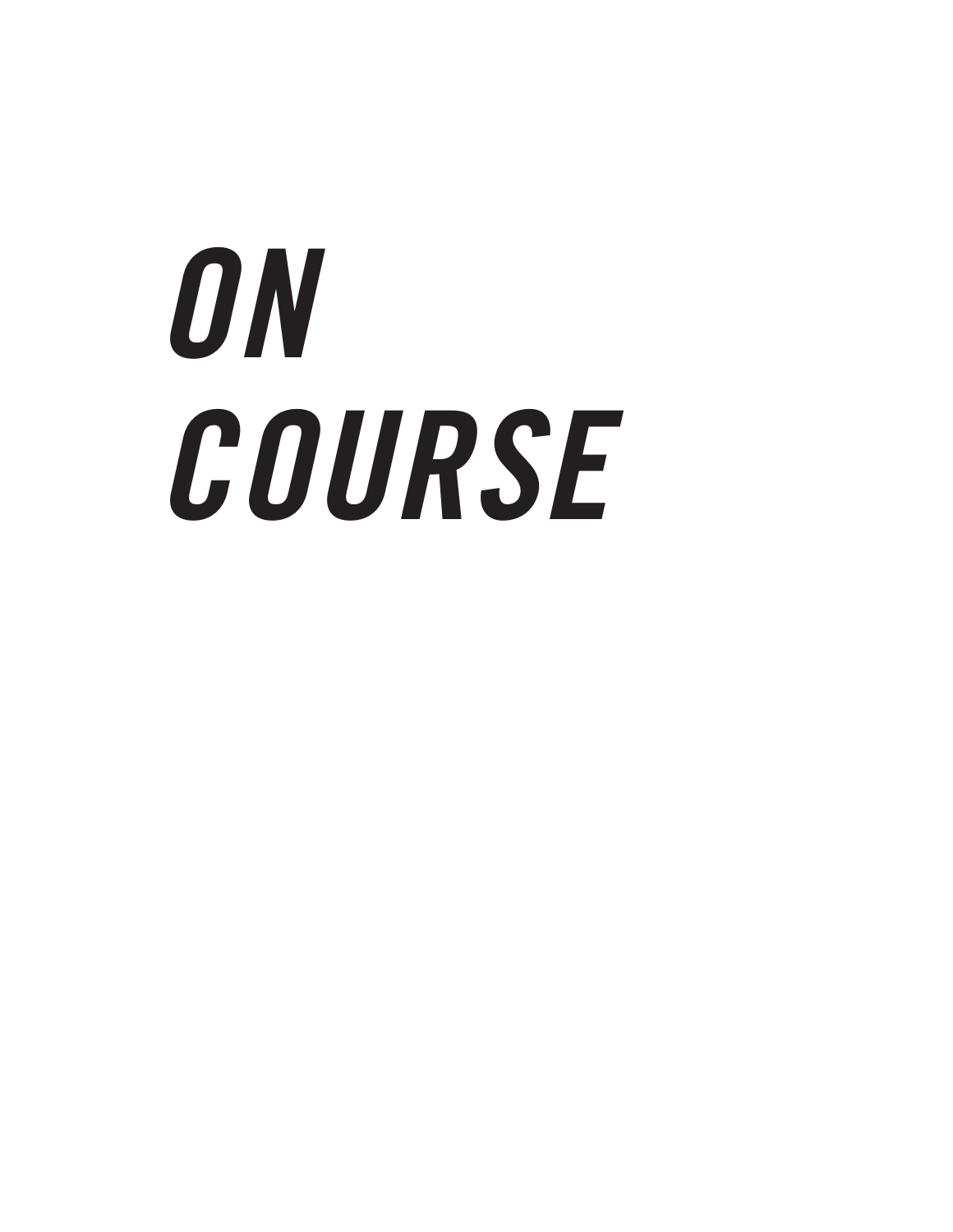## **ON COURSE**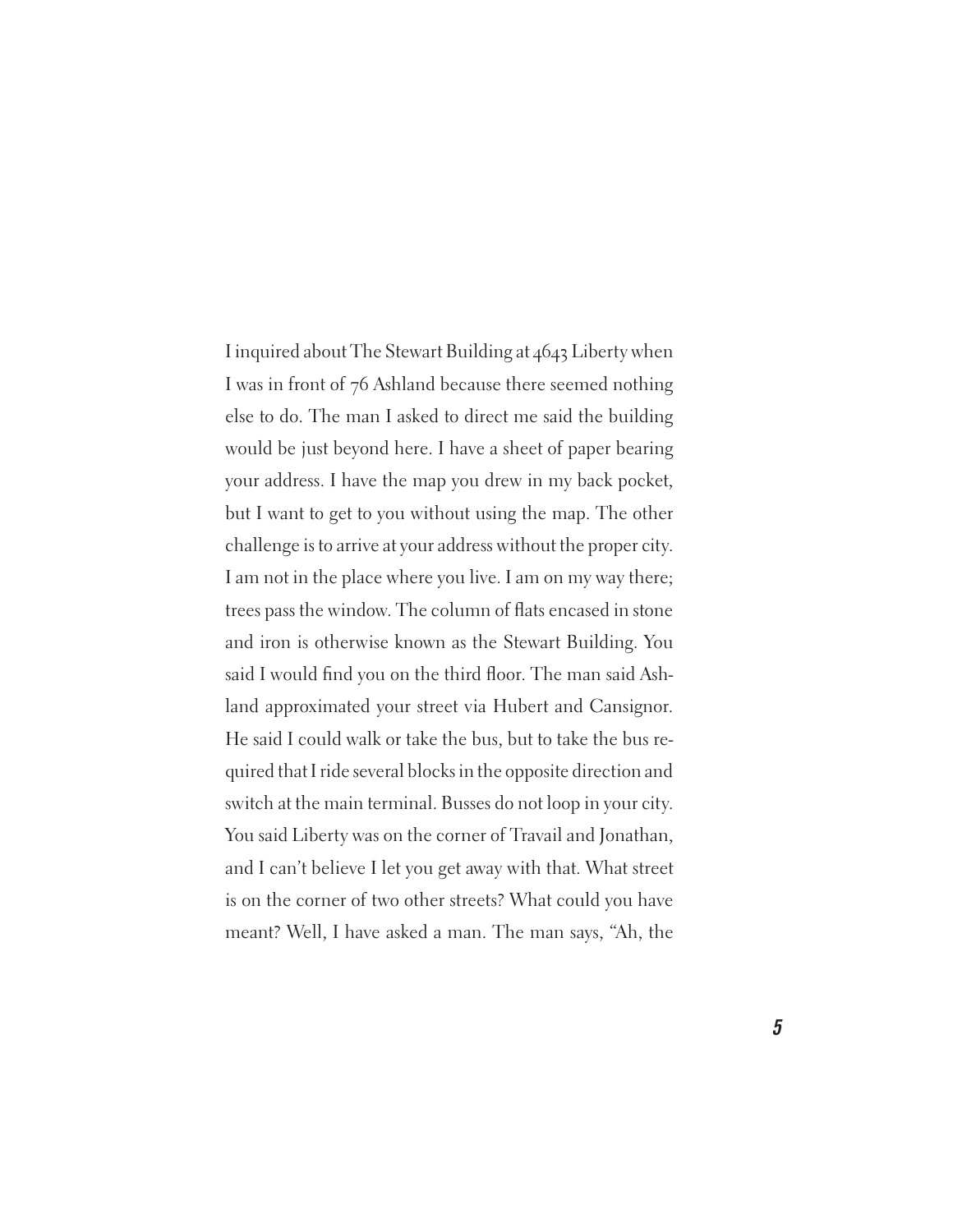I inquired about The Stewart Building at 4643 Liberty when I was in front of 76 Ashland because there seemed nothing else to do. The man I asked to direct me said the building would be just beyond here. I have a sheet of paper bearing your address. I have the map you drew in my back pocket, but I want to get to you without using the map. The other challenge is to arrive at your address without the proper city. I am not in the place where you live. I am on my way there; trees pass the window. The column of flats encased in stone and iron is otherwise known as the Stewart Building. You said I would find you on the third floor. The man said Ashland approximated your street via Hubert and Cansignor. He said I could walk or take the bus, but to take the bus required that I ride several blocks in the opposite direction and switch at the main terminal. Busses do not loop in your city. You said Liberty was on the corner of Travail and Jonathan, and I can't believe I let you get away with that. What street is on the corner of two other streets? What could you have meant? Well, I have asked a man. The man says, "Ah, the